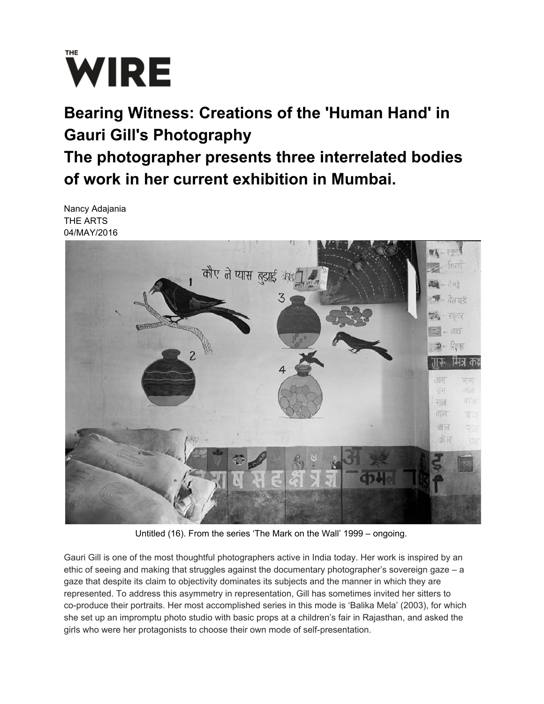

## **Bearing Witness: Creations of the 'Human Hand' in Gauri Gill's Photography The photographer presents three interrelated bodies of work in her current exhibition in Mumbai.**

Nancy Adajania THE ARTS 04/MAY/2016



Untitled (16). From the series 'The Mark on the Wall' 1999 – ongoing.

Gauri Gill is one of the most thoughtful photographers active in India today. Her work is inspired by an ethic of seeing and making that struggles against the documentary photographer's sovereign gaze – a gaze that despite its claim to objectivity dominates its subjects and the manner in which they are represented. To address this asymmetry in representation, Gill has sometimes invited her sitters to co-produce their portraits. Her most accomplished series in this mode is 'Balika Mela' (2003), for which she set up an impromptu photo studio with basic props at a children's fair in Rajasthan, and asked the girls who were her protagonists to choose their own mode of self-presentation.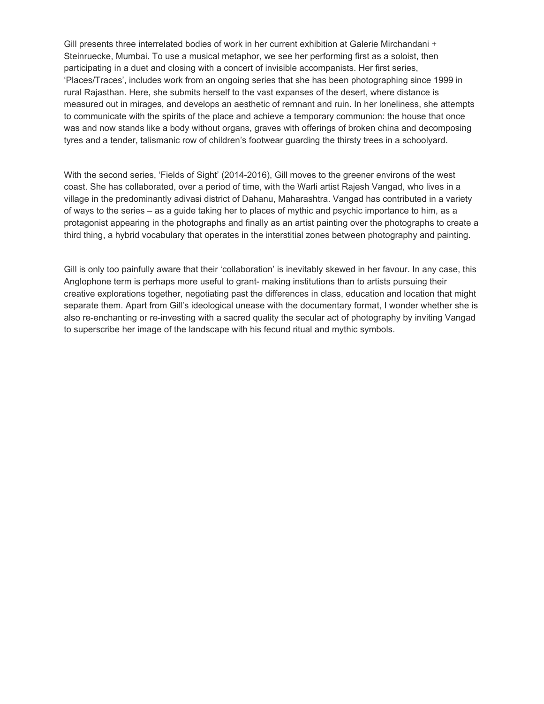Gill presents three interrelated bodies of work in her current exhibition at Galerie Mirchandani + Steinruecke, Mumbai. To use a musical metaphor, we see her performing first as a soloist, then participating in a duet and closing with a concert of invisible accompanists. Her first series, 'Places/Traces', includes work from an ongoing series that she has been photographing since 1999 in rural Rajasthan. Here, she submits herself to the vast expanses of the desert, where distance is measured out in mirages, and develops an aesthetic of remnant and ruin. In her loneliness, she attempts to communicate with the spirits of the place and achieve a temporary communion: the house that once was and now stands like a body without organs, graves with offerings of broken china and decomposing tyres and a tender, talismanic row of children's footwear guarding the thirsty trees in a schoolyard.

With the second series, 'Fields of Sight' (2014-2016), Gill moves to the greener environs of the west coast. She has collaborated, over a period of time, with the Warli artist Rajesh Vangad, who lives in a village in the predominantly adivasi district of Dahanu, Maharashtra. Vangad has contributed in a variety of ways to the series – as a guide taking her to places of mythic and psychic importance to him, as a protagonist appearing in the photographs and finally as an artist painting over the photographs to create a third thing, a hybrid vocabulary that operates in the interstitial zones between photography and painting.

Gill is only too painfully aware that their 'collaboration' is inevitably skewed in her favour. In any case, this Anglophone term is perhaps more useful to grant- making institutions than to artists pursuing their creative explorations together, negotiating past the differences in class, education and location that might separate them. Apart from Gill's ideological unease with the documentary format, I wonder whether she is also re-enchanting or re-investing with a sacred quality the secular act of photography by inviting Vangad to superscribe her image of the landscape with his fecund ritual and mythic symbols.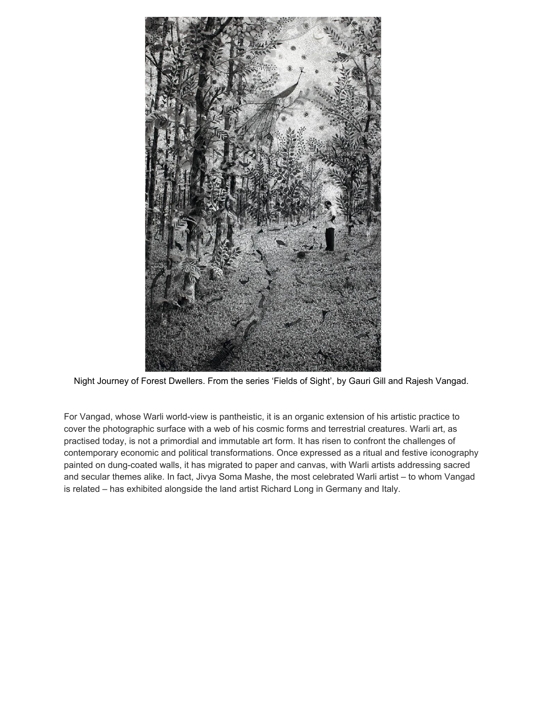

Night Journey of Forest Dwellers. From the series 'Fields of Sight', by Gauri Gill and Rajesh Vangad.

For Vangad, whose Warli world-view is pantheistic, it is an organic extension of his artistic practice to cover the photographic surface with a web of his cosmic forms and terrestrial creatures. Warli art, as practised today, is not a primordial and immutable art form. It has risen to confront the challenges of contemporary economic and political transformations. Once expressed as a ritual and festive iconography painted on dung-coated walls, it has migrated to paper and canvas, with Warli artists addressing sacred and secular themes alike. In fact, Jivya Soma Mashe, the most celebrated Warli artist – to whom Vangad is related – has exhibited alongside the land artist Richard Long in Germany and Italy.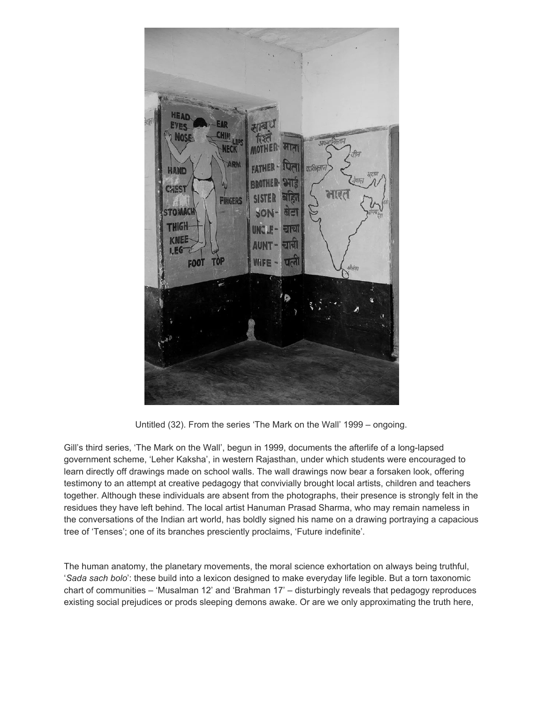

Untitled (32). From the series 'The Mark on the Wall' 1999 – ongoing.

Gill's third series, 'The Mark on the Wall', begun in 1999, documents the afterlife of a long-lapsed government scheme, 'Leher Kaksha', in western Rajasthan, under which students were encouraged to learn directly off drawings made on school walls. The wall drawings now bear a forsaken look, offering testimony to an attempt at creative pedagogy that convivially brought local artists, children and teachers together. Although these individuals are absent from the photographs, their presence is strongly felt in the residues they have left behind. The local artist Hanuman Prasad Sharma, who may remain nameless in the conversations of the Indian art world, has boldly signed his name on a drawing portraying a capacious tree of 'Tenses'; one of its branches presciently proclaims, 'Future indefinite'.

The human anatomy, the planetary movements, the moral science exhortation on always being truthful, '*Sada sach bolo*': these build into a lexicon designed to make everyday life legible. But a torn taxonomic chart of communities – 'Musalman 12' and 'Brahman 17' – disturbingly reveals that pedagogy reproduces existing social prejudices or prods sleeping demons awake. Or are we only approximating the truth here,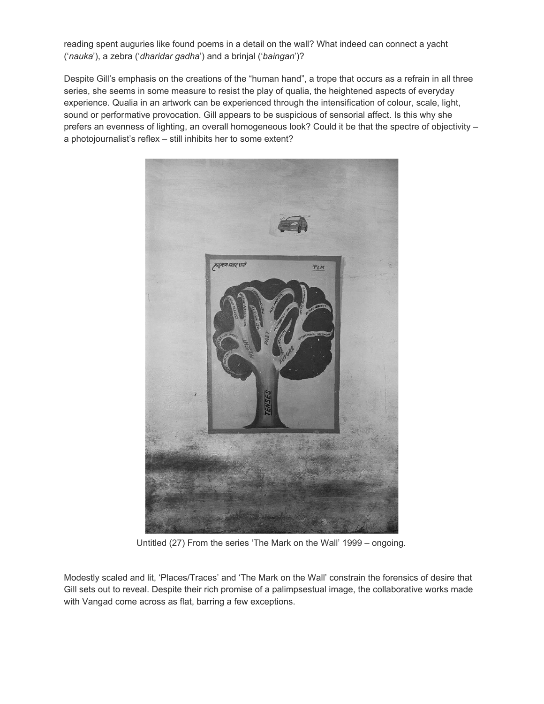reading spent auguries like found poems in a detail on the wall? What indeed can connect a yacht ('*nauka*'), a zebra ('*dharidar gadha*') and a brinjal ('*baingan*')?

Despite Gill's emphasis on the creations of the "human hand", a trope that occurs as a refrain in all three series, she seems in some measure to resist the play of qualia, the heightened aspects of everyday experience. Qualia in an artwork can be experienced through the intensification of colour, scale, light, sound or performative provocation. Gill appears to be suspicious of sensorial affect. Is this why she prefers an evenness of lighting, an overall homogeneous look? Could it be that the spectre of objectivity – a photojournalist's reflex – still inhibits her to some extent?



Untitled (27) From the series 'The Mark on the Wall' 1999 – ongoing.

Modestly scaled and lit, 'Places/Traces' and 'The Mark on the Wall' constrain the forensics of desire that Gill sets out to reveal. Despite their rich promise of a palimpsestual image, the collaborative works made with Vangad come across as flat, barring a few exceptions.